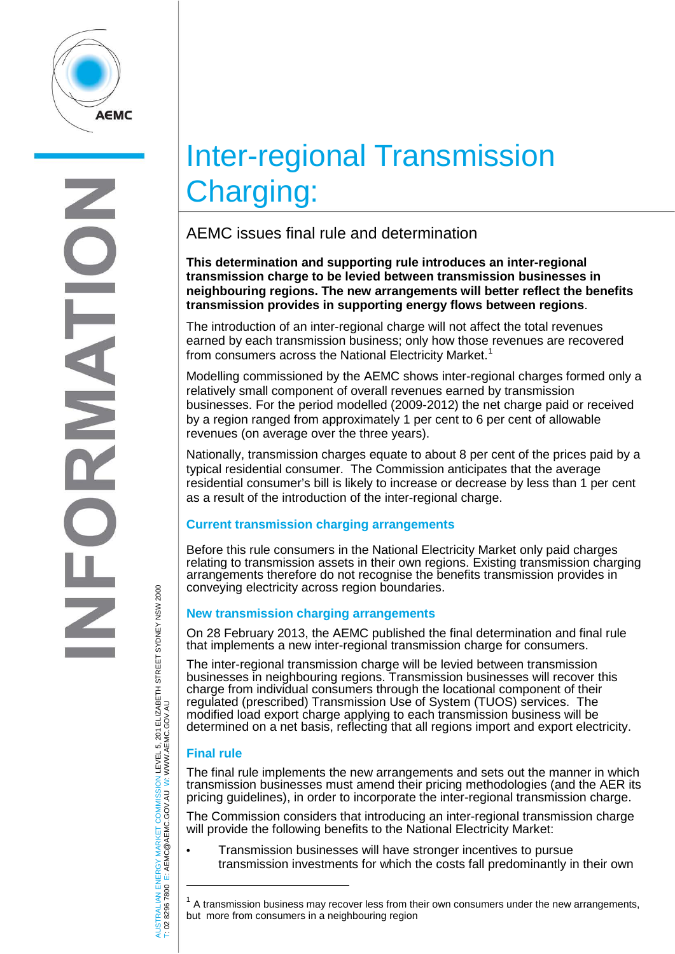

# Inter-regional Transmission Charging:

# AEMC issues final rule and determination

**This determination and supporting rule introduces an inter-regional transmission charge to be levied between transmission businesses in neighbouring regions. The new arrangements will better reflect the benefits transmission provides in supporting energy flows between regions**.

The introduction of an inter-regional charge will not affect the total revenues earned by each transmission business; only how those revenues are recovered from consumers across the National Electricity Market. [1](#page-0-0)

Modelling commissioned by the AEMC shows inter-regional charges formed only a relatively small component of overall revenues earned by transmission businesses. For the period modelled (2009-2012) the net charge paid or received by a region ranged from approximately 1 per cent to 6 per cent of allowable revenues (on average over the three years).

Nationally, transmission charges equate to about 8 per cent of the prices paid by a typical residential consumer. The Commission anticipates that the average residential consumer's bill is likely to increase or decrease by less than 1 per cent as a result of the introduction of the inter-regional charge.

## **Current transmission charging arrangements**

Before this rule consumers in the National Electricity Market only paid charges relating to transmission assets in their own regions. Existing transmission charging arrangements therefore do not recognise the benefits transmission provides in conveying electricity across region boundaries.

### **New transmission charging arrangements**

On 28 February 2013, the AEMC published the final determination and final rule that implements a new inter-regional transmission charge for consumers.

The inter-regional transmission charge will be levied between transmission businesses in neighbouring regions. Transmission businesses will recover this charge from individual consumers through the locational component of their regulated (prescribed) Transmission Use of System (TUOS) services. The modified load export charge applying to each transmission business will be determined on a net basis, reflecting that all regions import and export electricity.

## **Final rule**

j

T: 02 8296 7800 E: AEMC@AEMC.GOV.AU

AUSTRALIAN ENERGY MARKET COMMISSION LEVEL 5, 201 ELIZABETH STREET SYDNEY NSW 2000

AUSTRALIAN ENERGY MARKET COMMISSION LEVEL 5, 201 ELIZABETH STREET SYDNEY NSW 2000<br>Γ: 02 8296 7800 E: AEMC@AEMC.GOV.AU W: WWW.AEMC.GOV.AU

W: WWW.AEMC.GOV.AU

The final rule implements the new arrangements and sets out the manner in which transmission businesses must amend their pricing methodologies (and the AER its pricing guidelines), in order to incorporate the inter-regional transmission charge.

The Commission considers that introducing an inter-regional transmission charge will provide the following benefits to the National Electricity Market:

• Transmission businesses will have stronger incentives to pursue transmission investments for which the costs fall predominantly in their own

<span id="page-0-0"></span> $<sup>1</sup>$  A transmission business may recover less from their own consumers under the new arrangements,</sup> but more from consumers in a neighbouring region